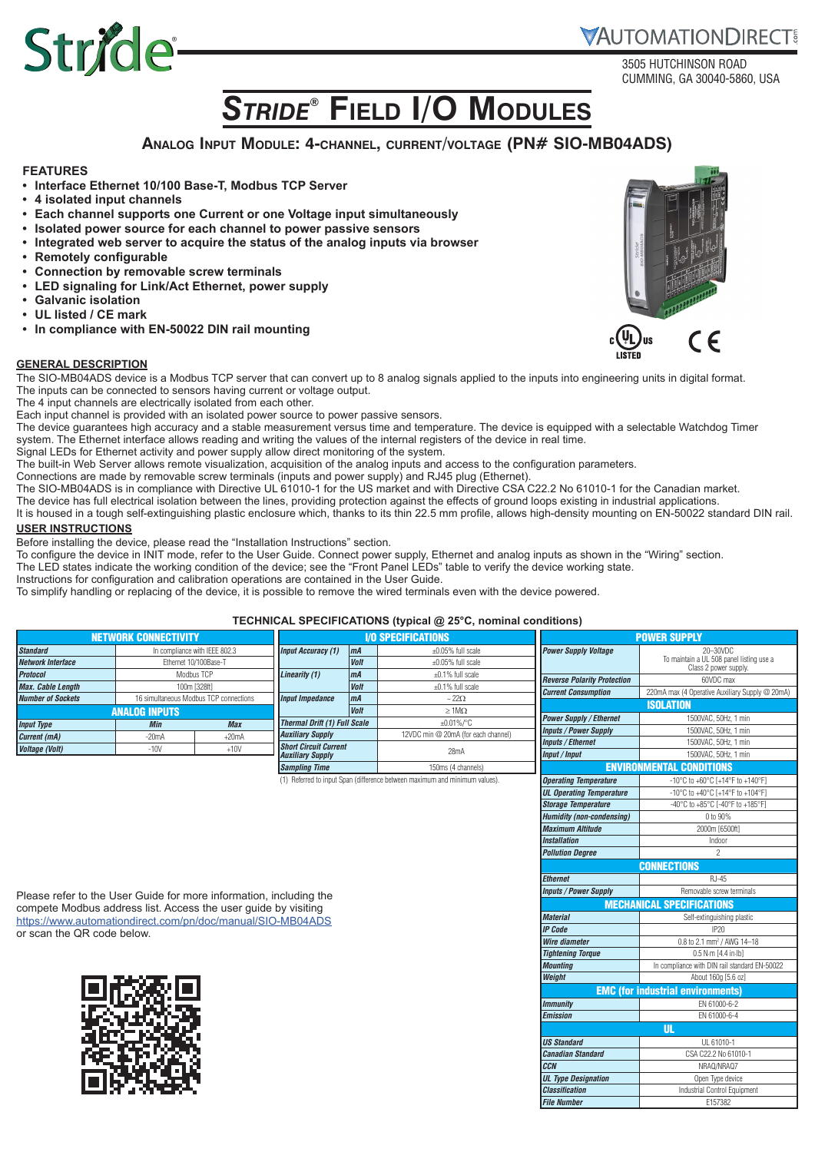## **VAUTOMATIONDIRECT**

3505 HUTCHINSON ROAD CUMMING, GA 30040-5860, USA

# *Stride***® Field I/O Modules**

### **Analog Input Module: 4-channel, current/voltage (PN# SIO-MB04ADS)**

#### **FEATURES**

- **• Interface Ethernet 10/100 Base-T, Modbus TCP Server**
- **• 4 isolated input channels**

Stride®

- **• Each channel supports one Current or one Voltage input simultaneously**
- **• Isolated power source for each channel to power passive sensors**
- **• Integrated web server to acquire the status of the analog inputs via browser**
- **• Remotely configurable**
- **• Connection by removable screw terminals**
- **• LED signaling for Link/Act Ethernet, power supply**
- **• Galvanic isolation**
- **• UL listed / CE mark**
- **• In compliance with EN-50022 DIN rail mounting**

#### **GENERAL DESCRIPTION**

The SIO-MB04ADS device is a Modbus TCP server that can convert up to 8 analog signals applied to the inputs into engineering units in digital format. The inputs can be connected to sensors having current or voltage output.

The 4 input channels are electrically isolated from each other.

Each input channel is provided with an isolated power source to power passive sensors.

The device guarantees high accuracy and a stable measurement versus time and temperature. The device is equipped with a selectable Watchdog Timer system. The Ethernet interface allows reading and writing the values of the internal registers of the device in real time.

Signal LEDs for Ethernet activity and power supply allow direct monitoring of the system.

The built-in Web Server allows remote visualization, acquisition of the analog inputs and access to the configuration parameters.

Connections are made by removable screw terminals (inputs and power supply) and RJ45 plug (Ethernet).

The SIO-MB04ADS is in compliance with Directive UL 61010-1 for the US market and with Directive CSA C22.2 No 61010-1 for the Canadian market.

The device has full electrical isolation between the lines, providing protection against the effects of ground loops existing in industrial applications.

It is housed in a tough self-extinguishing plastic enclosure which, thanks to its thin 22.5 mm profile, allows high-density mounting on EN-50022 standard DIN rail. **USER INSTRUCTIONS**

Before installing the device, please read the "Installation Instructions" section.

To configure the device in INIT mode, refer to the User Guide. Connect power supply, Ethernet and analog inputs as shown in the "Wiring" section.

The LED states indicate the working condition of the device; see the "Front Panel LEDs" table to verify the device working state.

Instructions for configuration and calibration operations are contained in the User Guide.

To simplify handling or replacing of the device, it is possible to remove the wired terminals even with the device powered.

#### **TECHNICAL SPECIFICATIONS (typical @ 25°C, nominal conditions)**

|                             |                                        |            |                                                         |                           | <b>I EURINGAL SPEUIFICATIONS (typical <math>\omega</math> zo U, hominal conditions)</b> |                                    |                                                                            |  |
|-----------------------------|----------------------------------------|------------|---------------------------------------------------------|---------------------------|-----------------------------------------------------------------------------------------|------------------------------------|----------------------------------------------------------------------------|--|
| <b>NETWORK CONNECTIVITY</b> |                                        |            |                                                         | <b>I/O SPECIFICATIONS</b> |                                                                                         |                                    | <b>POWER SUPPLY</b>                                                        |  |
| <b>Standard</b>             | In compliance with IEEE 802.3          |            | <b>Input Accuracy (1)</b>                               | m <sub>A</sub>            | $\pm 0.05\%$ full scale                                                                 | <b>Power Supply Voltage</b>        | 20-30VDC                                                                   |  |
| Network Interface           | Ethernet 10/100Base-T                  |            |                                                         | <b>Volt</b>               | $\pm 0.05\%$ full scale                                                                 |                                    | To maintain a UL 508 panel listing use a<br>Class 2 power supply.          |  |
| <b>Protocol</b>             | Modbus TCP                             |            | Linearity (1)                                           | m <sub>A</sub>            | $\pm 0.1\%$ full scale                                                                  | <b>Reverse Polarity Protection</b> | 60VDC max                                                                  |  |
| <b>Max. Cable Length</b>    | 100m [328ft]                           |            |                                                         | <b>Volt</b>               | $\pm 0.1\%$ full scale                                                                  |                                    |                                                                            |  |
| <b>Number of Sockets</b>    | 16 simultaneous Modbus TCP connections |            | <b>Input Impedance</b>                                  | m <sub>A</sub>            | $\sim 22\Omega$                                                                         | <b>Current Consumption</b>         | 220mA max (4 Operative Auxiliary Supply @ 20mA)                            |  |
| <b>ANALOG INPUTS</b>        |                                        |            | <b>Volt</b>                                             | $\geq 1$ M $\Omega$       |                                                                                         | <b>ISOLATION</b>                   |                                                                            |  |
|                             | <b>Min</b>                             | <b>Max</b> | <b>Thermal Drift (1) Full Scale</b>                     |                           | $±0.01\%$ /°C                                                                           | <b>Power Supply / Ethernet</b>     | 1500VAC, 50Hz, 1 min                                                       |  |
| <b>Input Type</b>           |                                        |            | <b>Auxiliary Supply</b>                                 |                           | 12VDC min @ 20mA (for each channel)                                                     | <b>Inputs / Power Supply</b>       | 1500VAC, 50Hz, 1 min                                                       |  |
| Current (mA)                | $-20mA$                                | $+20mA$    |                                                         |                           |                                                                                         | <b>Inputs / Ethernet</b>           | 1500VAC, 50Hz, 1 min                                                       |  |
| <b>Voltage (Volt)</b>       | $-10V$                                 | $+10V$     | <b>Short Circuit Current</b><br><b>Auxiliary Supply</b> |                           | 28mA                                                                                    | <b>Input / Input</b>               | 1500VAC, 50Hz, 1 min                                                       |  |
|                             |                                        |            | <b>Sampling Time</b>                                    |                           | 150ms (4 channels)                                                                      |                                    | <b>ENVIRONMENTAL CONDITIONS</b>                                            |  |
|                             |                                        |            |                                                         |                           | (1) Referred to input Span (difference between maximum and minimum values).             | <b>Operating Temperature</b>       | $-10^{\circ}$ C to $+60^{\circ}$ C [+14 $^{\circ}$ F to +140 $^{\circ}$ F] |  |
|                             |                                        |            |                                                         |                           |                                                                                         | UL Operating Temperature           | -10°C to +40°C $[+14$ °F to +104°F]                                        |  |

Please refer to the User Guide for more information, including the compete Modbus address list. Access the user guide by visiting <https://www.automationdirect.com/pn/doc/manual/SIO-MB04ADS> or scan the QR code below.



| <b>Reverse Polarity Protection</b> | 60VDC max                                       |
|------------------------------------|-------------------------------------------------|
| <b>Current Consumption</b>         | 220mA max (4 Operative Auxiliary Supply @ 20mA) |
|                                    | <b>ISOLATION</b>                                |
| <b>Power Supply / Ethernet</b>     | 1500VAC, 50Hz, 1 min                            |
| <b>Inputs / Power Supply</b>       | 1500VAC, 50Hz, 1 min                            |
| <b>Inputs / Ethernet</b>           | 1500VAC, 50Hz, 1 min                            |
| Input / Input                      | 1500VAC, 50Hz, 1 min                            |
|                                    | <b>ENVIRONMENTAL CONDITIONS</b>                 |
| <b>Operating Temperature</b>       | -10°C to +60°C [+14°F to +140°F]                |
| <b>UL Operating Temperature</b>    | -10°C to +40°C [+14°F to +104°F]                |
| <b>Storage Temperature</b>         | -40°C to +85°C [-40°F to +185°F]                |
| <b>Humidity (non-condensing)</b>   | 0 to 90%                                        |
| <b>Maximum Altitude</b>            | 2000m [6500ft]                                  |
| <b>Installation</b>                | Indoor                                          |
| <b>Pollution Degree</b>            | 2                                               |
|                                    | <b>CONNECTIONS</b>                              |
| <b>Ethernet</b>                    | R.I-45                                          |
| <b>Inputs / Power Supply</b>       | Removable screw terminals                       |
|                                    | <b>MECHANICAL SPECIFICATIONS</b>                |
| <b>Material</b>                    | Self-extinguishing plastic                      |
| <b>IP</b> Code                     | IP20                                            |
| Wire diameter                      | 0.8 to 2.1 mm <sup>2</sup> / AWG 14-18          |
| <b>Tightening Torque</b>           | 0.5 N-m [4.4 in-lb]                             |
| <b>Mountina</b>                    | In compliance with DIN rail standard EN-50022   |
| Weight                             | About 160g [5.6 oz]                             |
|                                    | <b>EMC (for industrial environments)</b>        |
| <b>Immunity</b>                    | FN 61000-6-2                                    |
| <b>Emission</b>                    | EN 61000-6-4                                    |
|                                    | UL                                              |
| <b>US Standard</b>                 | UL 61010-1                                      |
| <b>Canadian Standard</b>           | CSA C22.2 No 61010-1                            |
| <b>CCN</b>                         | NRAQ/NRAQ7                                      |
| <b>UL Type Designation</b>         | Open Type device                                |
| <b>Classification</b>              | Industrial Control Equipment                    |
| <b>File Number</b>                 | F157382                                         |